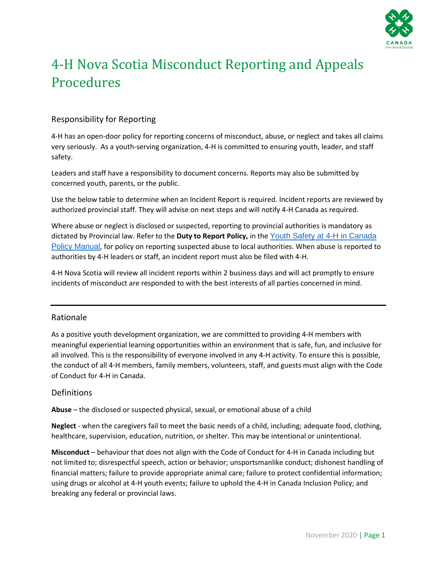

# 4-H Nova Scotia Misconduct Reporting and Appeals Procedures

#### Responsibility for Reporting

4-H has an open-door policy for reporting concerns of misconduct, abuse, or neglect and takes all claims very seriously. As a youth-serving organization, 4-H is committed to ensuring youth, leader, and staff safety.

Leaders and staff have a responsibility to document concerns. Reports may also be submitted by concerned youth, parents, or the public.

Use the below table to determine when an Incident Report is required. Incident reports are reviewed by authorized provincial staff. They will advise on next steps and will notify 4-H Canada as required.

Where abuse or neglect is disclosed or suspected, reporting to provincial authorities is mandatory as dictated by Provincial law. Refer to the **Duty to Report Policy,** in the [Youth Safety at](https://4-h-canada.ca/sites/default/files/risk-management/youth-safety/youth-safety_4-h-canada.pdf) 4-H in Canada [Policy Manual](https://4-h-canada.ca/sites/default/files/risk-management/youth-safety/youth-safety_4-h-canada.pdf), for policy on reporting suspected abuse to local authorities. When abuse is reported to authorities by 4-H leaders or staff, an incident report must also be filed with 4-H.

4-H Nova Scotia will review all incident reports within 2 business days and will act promptly to ensure incidents of misconduct are responded to with the best interests of all parties concerned in mind.

#### Rationale

As a positive youth development organization, we are committed to providing 4-H members with meaningful experiential learning opportunities within an environment that is safe, fun, and inclusive for all involved. This is the responsibility of everyone involved in any 4-H activity. To ensure this is possible, the conduct of all 4-H members, family members, volunteers, staff, and guests must align with the Code of Conduct for 4-H in Canada.

#### Definitions

**Abuse** – the disclosed or suspected physical, sexual, or emotional abuse of a child

**Neglect** - when the caregivers fail to meet the basic needs of a child, including; adequate food, clothing, healthcare, supervision, education, nutrition, or shelter. This may be intentional or unintentional.

**Misconduct** – behaviour that does not align with the Code of Conduct for 4-H in Canada including but not limited to; disrespectful speech, action or behavior; unsportsmanlike conduct; dishonest handling of financial matters; failure to provide appropriate animal care; failure to protect confidential information; using drugs or alcohol at 4-H youth events; failure to uphold the 4-H in Canada Inclusion Policy; and breaking any federal or provincial laws.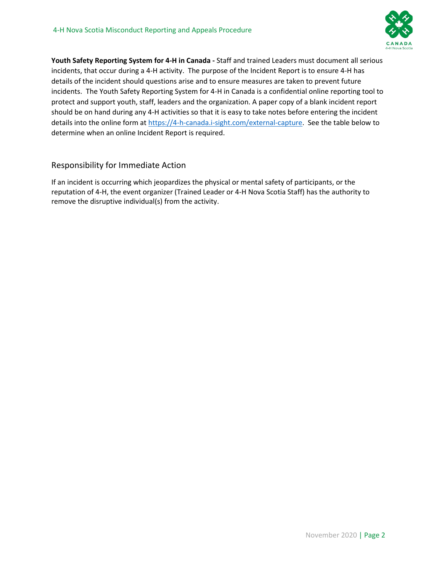

**Youth Safety Reporting System for 4-H in Canada -** Staff and trained Leaders must document all serious incidents, that occur during a 4-H activity. The purpose of the Incident Report is to ensure 4-H has details of the incident should questions arise and to ensure measures are taken to prevent future incidents. The Youth Safety Reporting System for 4-H in Canada is a confidential online reporting tool to protect and support youth, staff, leaders and the organization. A paper copy of a blank incident report should be on hand during any 4-H activities so that it is easy to take notes before entering the incident details into the online form at [https://4-h-canada.i-sight.com/external-capture.](https://4-h-canada.i-sight.com/external-capture) See the table below to determine when an online Incident Report is required.

#### Responsibility for Immediate Action

If an incident is occurring which jeopardizes the physical or mental safety of participants, or the reputation of 4-H, the event organizer (Trained Leader or 4-H Nova Scotia Staff) has the authority to remove the disruptive individual(s) from the activity.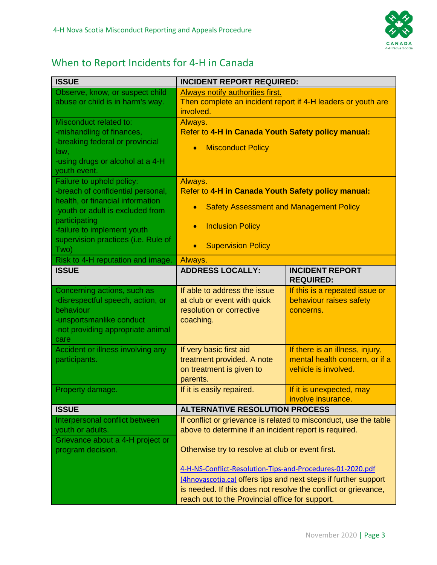

## When to Report Incidents for 4-H in Canada

| <b>ISSUE</b>                                                          | <b>INCIDENT REPORT REQUIRED:</b>                                          |                                                |
|-----------------------------------------------------------------------|---------------------------------------------------------------------------|------------------------------------------------|
| Observe, know, or suspect child                                       | Always notify authorities first.                                          |                                                |
| abuse or child is in harm's way.                                      | Then complete an incident report if 4-H leaders or youth are<br>involved. |                                                |
| Misconduct related to:                                                | Always.                                                                   |                                                |
| -mishandling of finances,<br>-breaking federal or provincial          | Refer to 4-H in Canada Youth Safety policy manual:                        |                                                |
| law,                                                                  | <b>Misconduct Policy</b><br>$\bullet$                                     |                                                |
| -using drugs or alcohol at a 4-H                                      |                                                                           |                                                |
| youth event.                                                          |                                                                           |                                                |
| Failure to uphold policy:                                             | Always.                                                                   |                                                |
| -breach of confidential personal,<br>health, or financial information | Refer to 4-H in Canada Youth Safety policy manual:                        |                                                |
| -youth or adult is excluded from                                      | <b>Safety Assessment and Management Policy</b><br>$\bullet$               |                                                |
| participating<br>-failure to implement youth                          | <b>Inclusion Policy</b><br>$\bullet$                                      |                                                |
| supervision practices (i.e. Rule of<br>Two)                           | <b>Supervision Policy</b><br>$\bullet$                                    |                                                |
| Risk to 4-H reputation and image.                                     | Always.                                                                   |                                                |
| <b>ISSUE</b>                                                          | <b>ADDRESS LOCALLY:</b>                                                   | <b>INCIDENT REPORT</b><br><b>REQUIRED:</b>     |
| Concerning actions, such as                                           | If able to address the issue                                              | If this is a repeated issue or                 |
| -disrespectful speech, action, or                                     | at club or event with quick                                               | behaviour raises safety                        |
| behaviour                                                             | resolution or corrective                                                  | concerns.                                      |
| -unsportsmanlike conduct<br>-not providing appropriate animal         | coaching.                                                                 |                                                |
| care                                                                  |                                                                           |                                                |
| Accident or illness involving any                                     | If very basic first aid                                                   | If there is an illness, injury,                |
| participants.                                                         | treatment provided. A note                                                | mental health concern, or if a                 |
|                                                                       | on treatment is given to                                                  | vehicle is involved.                           |
|                                                                       | parents.                                                                  |                                                |
| Property damage.                                                      | If it is easily repaired.                                                 | If it is unexpected, may<br>involve insurance. |
| <b>ISSUE</b>                                                          | <b>ALTERNATIVE RESOLUTION PROCESS</b>                                     |                                                |
| Interpersonal conflict between                                        | If conflict or grievance is related to misconduct, use the table          |                                                |
| youth or adults.                                                      | above to determine if an incident report is required.                     |                                                |
| Grievance about a 4-H project or                                      |                                                                           |                                                |
| program decision.                                                     | Otherwise try to resolve at club or event first.                          |                                                |
|                                                                       | 4-H-NS-Conflict-Resolution-Tips-and-Procedures-01-2020.pdf                |                                                |
|                                                                       | (4hnovascotia.ca) offers tips and next steps if further support           |                                                |
|                                                                       | is needed. If this does not resolve the conflict or grievance,            |                                                |
|                                                                       | reach out to the Provincial office for support.                           |                                                |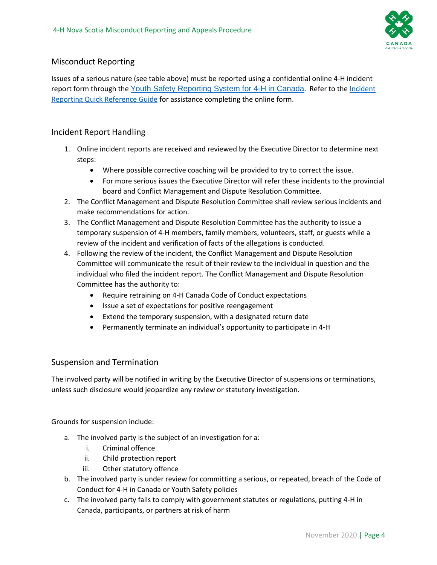

#### Misconduct Reporting

Issues of a serious nature (see table above) must be reported using a confidential online 4-H incident report form through the [Youth Safety Reporting System for 4-H in Canada](https://4-h-canada.i-sight.com/external-capture). Refer to the [Incident](https://4-h-canada.ca/sites/default/files/risk-management/youth-safety/4-h_incident-reporting-quick-reference-guide.pdf)  [Reporting Quick Reference Guide](https://4-h-canada.ca/sites/default/files/risk-management/youth-safety/4-h_incident-reporting-quick-reference-guide.pdf) for assistance completing the online form.

#### Incident Report Handling

- 1. Online incident reports are received and reviewed by the Executive Director to determine next steps:
	- Where possible corrective coaching will be provided to try to correct the issue.
	- For more serious issues the Executive Director will refer these incidents to the provincial board and Conflict Management and Dispute Resolution Committee.
- 2. The Conflict Management and Dispute Resolution Committee shall review serious incidents and make recommendations for action.
- 3. The Conflict Management and Dispute Resolution Committee has the authority to issue a temporary suspension of 4-H members, family members, volunteers, staff, or guests while a review of the incident and verification of facts of the allegations is conducted.
- 4. Following the review of the incident, the Conflict Management and Dispute Resolution Committee will communicate the result of their review to the individual in question and the individual who filed the incident report. The Conflict Management and Dispute Resolution Committee has the authority to:
	- Require retraining on 4-H Canada Code of Conduct expectations
	- Issue a set of expectations for positive reengagement
	- Extend the temporary suspension, with a designated return date
	- Permanently terminate an individual's opportunity to participate in 4-H

#### Suspension and Termination

The involved party will be notified in writing by the Executive Director of suspensions or terminations, unless such disclosure would jeopardize any review or statutory investigation.

Grounds for suspension include:

- a. The involved party is the subject of an investigation for a:
	- i. Criminal offence
	- ii. Child protection report
	- iii. Other statutory offence
- b. The involved party is under review for committing a serious, or repeated, breach of the Code of Conduct for 4-H in Canada or Youth Safety policies
- c. The involved party fails to comply with government statutes or regulations, putting 4-H in Canada, participants, or partners at risk of harm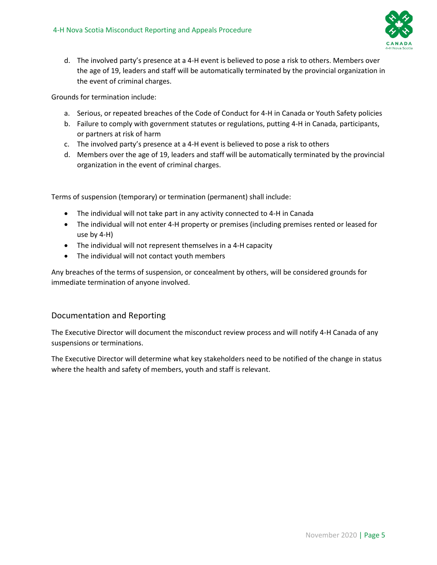

d. The involved party's presence at a 4-H event is believed to pose a risk to others. Members over the age of 19, leaders and staff will be automatically terminated by the provincial organization in the event of criminal charges.

Grounds for termination include:

- a. Serious, or repeated breaches of the Code of Conduct for 4-H in Canada or Youth Safety policies
- b. Failure to comply with government statutes or regulations, putting 4-H in Canada, participants, or partners at risk of harm
- c. The involved party's presence at a 4-H event is believed to pose a risk to others
- d. Members over the age of 19, leaders and staff will be automatically terminated by the provincial organization in the event of criminal charges.

Terms of suspension (temporary) or termination (permanent) shall include:

- The individual will not take part in any activity connected to 4-H in Canada
- The individual will not enter 4-H property or premises (including premises rented or leased for use by 4-H)
- The individual will not represent themselves in a 4-H capacity
- The individual will not contact youth members

Any breaches of the terms of suspension, or concealment by others, will be considered grounds for immediate termination of anyone involved.

#### Documentation and Reporting

The Executive Director will document the misconduct review process and will notify 4-H Canada of any suspensions or terminations.

The Executive Director will determine what key stakeholders need to be notified of the change in status where the health and safety of members, youth and staff is relevant.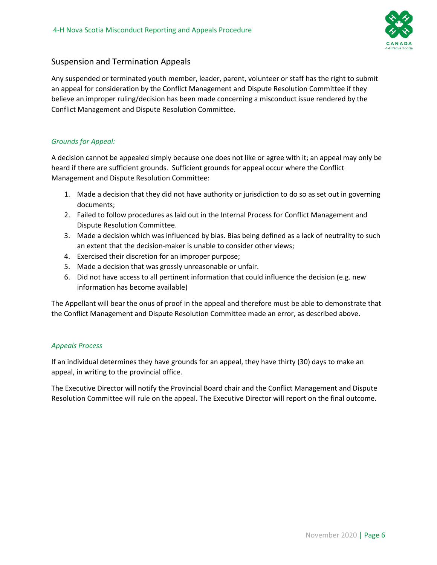

#### Suspension and Termination Appeals

Any suspended or terminated youth member, leader, parent, volunteer or staff has the right to submit an appeal for consideration by the Conflict Management and Dispute Resolution Committee if they believe an improper ruling/decision has been made concerning a misconduct issue rendered by the Conflict Management and Dispute Resolution Committee.

#### *Grounds for Appeal:*

A decision cannot be appealed simply because one does not like or agree with it; an appeal may only be heard if there are sufficient grounds. Sufficient grounds for appeal occur where the Conflict Management and Dispute Resolution Committee:

- 1. Made a decision that they did not have authority or jurisdiction to do so as set out in governing documents;
- 2. Failed to follow procedures as laid out in the Internal Process for Conflict Management and Dispute Resolution Committee.
- 3. Made a decision which was influenced by bias. Bias being defined as a lack of neutrality to such an extent that the decision-maker is unable to consider other views;
- 4. Exercised their discretion for an improper purpose;
- 5. Made a decision that was grossly unreasonable or unfair.
- 6. Did not have access to all pertinent information that could influence the decision (e.g. new information has become available)

The Appellant will bear the onus of proof in the appeal and therefore must be able to demonstrate that the Conflict Management and Dispute Resolution Committee made an error, as described above.

#### *Appeals Process*

If an individual determines they have grounds for an appeal, they have thirty (30) days to make an appeal, in writing to the provincial office.

The Executive Director will notify the Provincial Board chair and the Conflict Management and Dispute Resolution Committee will rule on the appeal. The Executive Director will report on the final outcome.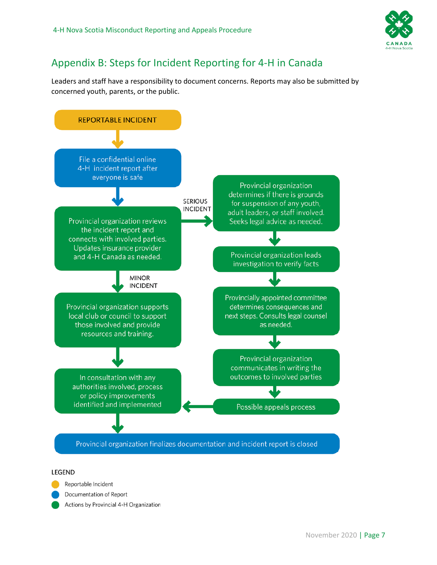

### Appendix B: Steps for Incident Reporting for 4-H in Canada

Leaders and staff have a responsibility to document concerns. Reports may also be submitted by concerned youth, parents, or the public.



#### **LEGEND**

Reportable Incident

Documentation of Report

Actions by Provincial 4-H Organization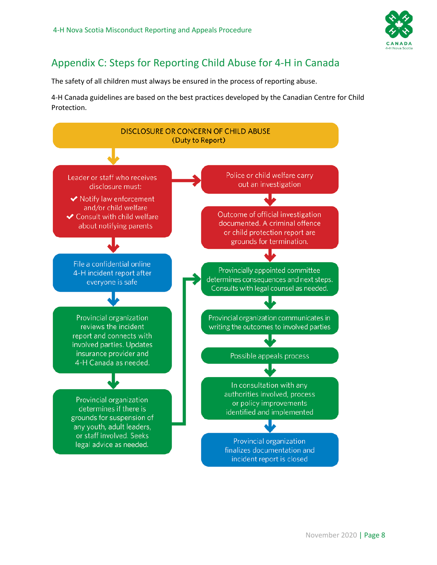

### Appendix C: Steps for Reporting Child Abuse for 4-H in Canada

The safety of all children must always be ensured in the process of reporting abuse.

4-H Canada guidelines are based on the best practices developed by the Canadian Centre for Child Protection.